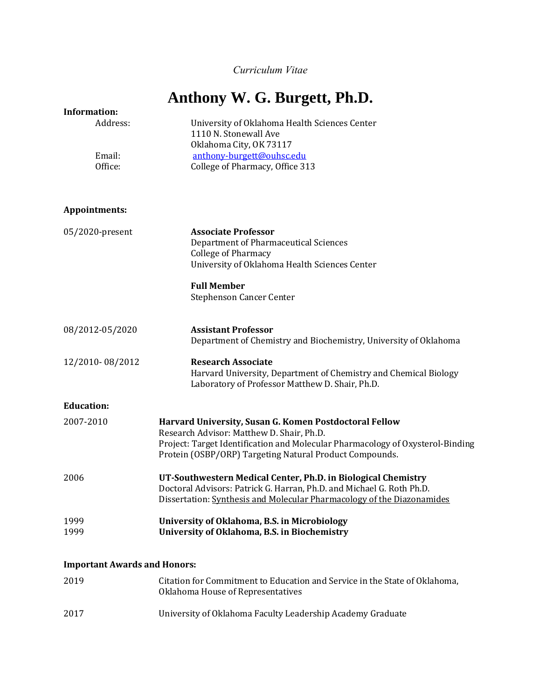*Curriculum Vitae*

# **Anthony W. G. Burgett, Ph.D.**

| <b>Information:</b>                 |                                                                                |  |  |
|-------------------------------------|--------------------------------------------------------------------------------|--|--|
| Address:                            | University of Oklahoma Health Sciences Center                                  |  |  |
|                                     | 1110 N. Stonewall Ave                                                          |  |  |
|                                     | Oklahoma City, OK 73117                                                        |  |  |
|                                     |                                                                                |  |  |
| Email:                              | anthony-burgett@ouhsc.edu                                                      |  |  |
| Office:                             | College of Pharmacy, Office 313                                                |  |  |
| Appointments:                       |                                                                                |  |  |
|                                     |                                                                                |  |  |
| 05/2020-present                     | <b>Associate Professor</b>                                                     |  |  |
|                                     | Department of Pharmaceutical Sciences                                          |  |  |
|                                     | <b>College of Pharmacy</b>                                                     |  |  |
|                                     | University of Oklahoma Health Sciences Center                                  |  |  |
|                                     |                                                                                |  |  |
|                                     | <b>Full Member</b>                                                             |  |  |
|                                     | <b>Stephenson Cancer Center</b>                                                |  |  |
|                                     |                                                                                |  |  |
| 08/2012-05/2020                     | <b>Assistant Professor</b>                                                     |  |  |
|                                     | Department of Chemistry and Biochemistry, University of Oklahoma               |  |  |
|                                     |                                                                                |  |  |
| 12/2010-08/2012                     | <b>Research Associate</b>                                                      |  |  |
|                                     | Harvard University, Department of Chemistry and Chemical Biology               |  |  |
|                                     | Laboratory of Professor Matthew D. Shair, Ph.D.                                |  |  |
| <b>Education:</b>                   |                                                                                |  |  |
| 2007-2010                           | Harvard University, Susan G. Komen Postdoctoral Fellow                         |  |  |
|                                     | Research Advisor: Matthew D. Shair, Ph.D.                                      |  |  |
|                                     |                                                                                |  |  |
|                                     | Project: Target Identification and Molecular Pharmacology of Oxysterol-Binding |  |  |
|                                     | Protein (OSBP/ORP) Targeting Natural Product Compounds.                        |  |  |
| 2006                                | UT-Southwestern Medical Center, Ph.D. in Biological Chemistry                  |  |  |
|                                     | Doctoral Advisors: Patrick G. Harran, Ph.D. and Michael G. Roth Ph.D.          |  |  |
|                                     | Dissertation: Synthesis and Molecular Pharmacology of the Diazonamides         |  |  |
| 1999                                | University of Oklahoma, B.S. in Microbiology                                   |  |  |
| 1999                                | University of Oklahoma, B.S. in Biochemistry                                   |  |  |
|                                     |                                                                                |  |  |
| <b>Important Awards and Honors:</b> |                                                                                |  |  |
|                                     |                                                                                |  |  |
| 2019                                | Citation for Commitment to Education and Service in the State of Oklahoma,     |  |  |
|                                     | Oklahoma House of Representatives                                              |  |  |

2017 University of Oklahoma Faculty Leadership Academy Graduate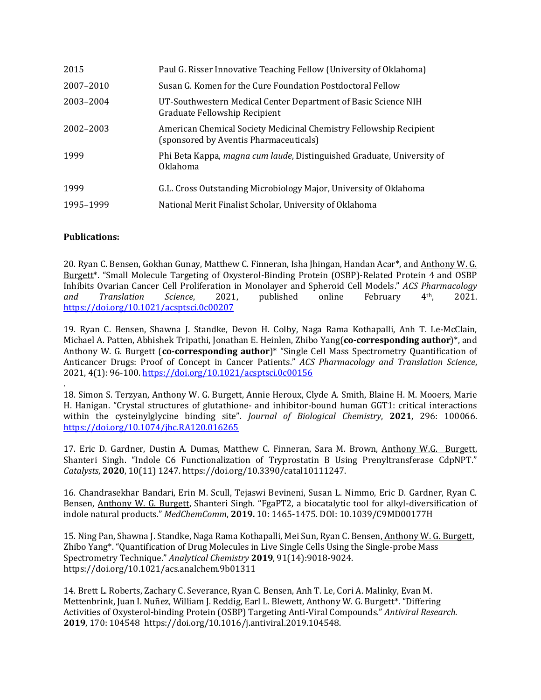| 2015      | Paul G. Risser Innovative Teaching Fellow (University of Oklahoma)                                           |
|-----------|--------------------------------------------------------------------------------------------------------------|
| 2007-2010 | Susan G. Komen for the Cure Foundation Postdoctoral Fellow                                                   |
| 2003-2004 | UT-Southwestern Medical Center Department of Basic Science NIH<br>Graduate Fellowship Recipient              |
| 2002-2003 | American Chemical Society Medicinal Chemistry Fellowship Recipient<br>(sponsored by Aventis Pharmaceuticals) |
| 1999      | Phi Beta Kappa, magna cum laude, Distinguished Graduate, University of<br><b>Oklahoma</b>                    |
| 1999      | G.L. Cross Outstanding Microbiology Major, University of Oklahoma                                            |
| 1995-1999 | National Merit Finalist Scholar, University of Oklahoma                                                      |

#### **Publications:**

20. Ryan C. Bensen, Gokhan Gunay, Matthew C. Finneran, Isha Jhingan, Handan Acar\*, and Anthony W. G. Burgett\*. "Small Molecule Targeting of Oxysterol-Binding Protein (OSBP)-Related Protein 4 and OSBP Inhibits Ovarian Cancer Cell Proliferation in Monolayer and Spheroid Cell Models." *ACS Pharmacology and Translation Science*, 2021, published online February 4th, 2021. <https://doi.org/10.1021/acsptsci.0c00207>

19. Ryan C. Bensen, Shawna J. Standke, Devon H. Colby, Naga Rama Kothapalli, Anh T. Le-McClain, Michael A. Patten, Abhishek Tripathi, Jonathan E. Heinlen, Zhibo Yang(**co-corresponding author**)\*, and Anthony W. G. Burgett (**co-corresponding author**)\* "Single Cell Mass Spectrometry Quantification of Anticancer Drugs: Proof of Concept in Cancer Patients." *ACS Pharmacology and Translation Science*, 2021, 4(1): 96-100[. https://doi.org/10.1021/acsptsci.0c00156](https://doi.org/10.1021/acsptsci.0c00156)

. 18. Simon S. Terzyan, Anthony W. G. Burgett, Annie Heroux, Clyde A. Smith, Blaine H. M. Mooers, Marie H. Hanigan. "Crystal structures of glutathione- and inhibitor-bound human GGT1: critical interactions within the cysteinylglycine binding site". *Journal of Biological Chemistry*, **2021**, 296: 100066. <https://doi.org/10.1074/jbc.RA120.016265>

17. Eric D. Gardner, Dustin A. Dumas, Matthew C. Finneran, Sara M. Brown, Anthony W.G. Burgett, Shanteri Singh. "Indole C6 Functionalization of Tryprostatin B Using Prenyltransferase CdpNPT." *Catalysts*, **2020**, 10(11) 1247. https://doi.org/10.3390/catal10111247.

16. Chandrasekhar Bandari, Erin M. Scull, Tejaswi Bevineni, Susan L. Nimmo, Eric D. Gardner, Ryan C. Bensen, Anthony W. G. Burgett, Shanteri Singh. "FgaPT2, a biocatalytic tool for alkyl-diversification of indole natural products." *MedChemComm*, **2019.** 10: 1465-1475. [DOI: 10.1039/C9MD00177H](https://doi.org/10.1039/C9MD00177H)

15. Ning Pan, Shawna J. Standke, Naga Rama Kothapalli, Mei Sun, Ryan C. Bensen, Anthony W. G. Burgett, Zhibo Yang\*. "Quantification of Drug Molecules in Live Single Cells Using the Single-probe Mass Spectrometry Technique." *Analytical Chemistry* **2019**, 91(14):9018-9024. https://doi.org/10.1021/acs.analchem.9b01311

14. Brett L. Roberts, Zachary C. Severance, Ryan C. Bensen, Anh T. Le, Cori A. Malinky, Evan M. Mettenbrink, Juan I. Nuñez, William J. Reddig, Earl L. Blewett, Anthony W. G. Burgett\*. "Differing Activities of Oxysterol-binding Protein (OSBP) Targeting Anti-Viral Compounds." *Antiviral Research.*  **2019**, 170: 104548 [https://doi.org/10.1016/j.antiviral.2019.104548.](https://doi.org/10.1016/j.antiviral.2019.104548)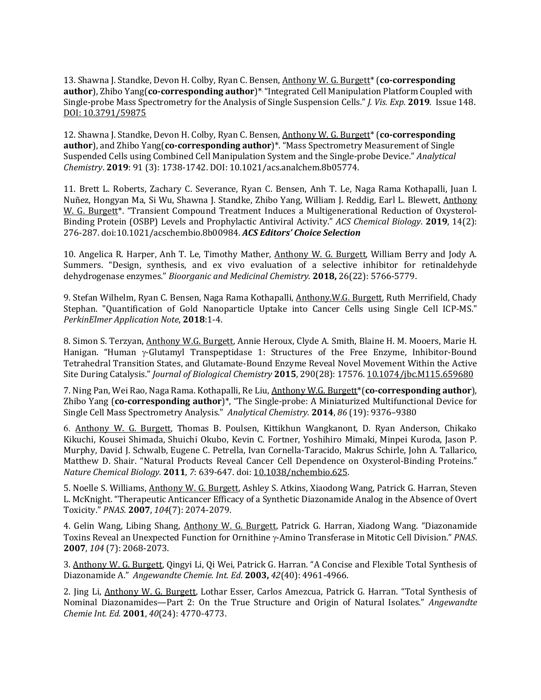13. Shawna J. Standke, Devon H. Colby, Ryan C. Bensen, Anthony W. G. Burgett\* (**co-corresponding author**), Zhibo Yang(**co-corresponding author**)\* ."Integrated Cell Manipulation Platform Coupled with Single-probe Mass Spectrometry for the Analysis of Single Suspension Cells." *J. Vis. Exp.* **2019***.* Issue 148. [DOI: 10.3791/59875](http://dx.doi.org/10.3791/59875)

12. Shawna J. Standke, Devon H. Colby, Ryan C. Bensen, Anthony W. G. Burgett\* (**co-corresponding author**), and Zhibo Yang(**co-corresponding author**)\*. "Mass Spectrometry Measurement of Single Suspended Cells using Combined Cell Manipulation System and the Single-probe Device." *Analytical Chemistry*. **2019**: 91 (3): 1738-1742. DOI: 10.1021/acs.analchem.8b05774.

11. Brett L. Roberts, Zachary C. Severance, Ryan C. Bensen, Anh T. Le, Naga Rama Kothapalli, Juan I. Nuñez, Hongyan Ma, Si Wu, Shawna J. Standke, Zhibo Yang, William J. Reddig, Earl L. Blewett, Anthony W. G. Burgett\*. "Transient Compound Treatment Induces a Multigenerational Reduction of Oxysterol-Binding Protein (OSBP) Levels and Prophylactic Antiviral Activity." *ACS Chemical Biology*. **2019**, 14(2): 276-287. doi:10.1021/acschembio.8b00984. *ACS Editors' Choice Selection*

10. Angelica R. Harper, Anh T. Le, Timothy Mather, Anthony W. G. Burgett, William Berry and Jody A. Summers. "Design, synthesis, and ex vivo evaluation of a selective inhibitor for retinaldehyde dehydrogenase enzymes." *Bioorganic and Medicinal Chemistry.* **2018,** 26(22): 5766-5779.

9. Stefan Wilhelm, Ryan C. Bensen, Naga Rama Kothapalli, Anthony.W.G. Burgett, Ruth Merrifield, Chady Stephan. "Quantification of Gold Nanoparticle Uptake into Cancer Cells using Single Cell ICP-MS." *PerkinElmer Application Note*, **2018**:1-4.

8. Simon S. Terzyan, Anthony W.G. Burgett, Annie Heroux, Clyde A. Smith, Blaine H. M. Mooers, Marie H. Hanigan. "Human  $\gamma$ -Glutamyl Transpeptidase 1: Structures of the Free Enzyme, Inhibitor-Bound Tetrahedral Transition States, and Glutamate-Bound Enzyme Reveal Novel Movement Within the Active Site During Catalysis." *Journal of Biological Chemistry* **2015**, 290(28): 17576. [10.1074/jbc.M115.659680](https://doi.org/10.1074/jbc.m115.659680)

7. Ning Pan, Wei Rao, Naga Rama. Kothapalli, Re Liu, Anthony W.G. Burgett\*(**co-corresponding author**), Zhibo Yang (**co-corresponding author**)\*, "The Single-probe: A Miniaturized Multifunctional Device for Single Cell Mass Spectrometry Analysis." *Analytical Chemistry.* **2014**, *86* (19): 9376–9380

6. Anthony W. G. Burgett, Thomas B. Poulsen, Kittikhun Wangkanont, D. Ryan Anderson, Chikako Kikuchi, Kousei Shimada, Shuichi Okubo, Kevin C. Fortner, Yoshihiro Mimaki, Minpei Kuroda, Jason P. Murphy, David J. Schwalb, Eugene C. Petrella, Ivan Cornella-Taracido, Makrus Schirle, John A. Tallarico, Matthew D. Shair. "Natural Products Reveal Cancer Cell Dependence on Oxysterol-Binding Proteins." *Nature Chemical Biology.* **2011**, *7*: 639-647. doi: [10.1038/nchembio.625.](https://dx.doi.org/10.1038%2Fnchembio.625)

5. Noelle S. Williams, Anthony W. G. Burgett, Ashley S. Atkins, Xiaodong Wang, Patrick G. Harran, Steven L. McKnight. "Therapeutic Anticancer Efficacy of a Synthetic Diazonamide Analog in the Absence of Overt Toxicity." *PNAS.* **2007**, *104*(7): 2074-2079.

4. Gelin Wang, Libing Shang, Anthony W. G. Burgett, Patrick G. Harran, Xiadong Wang. "Diazonamide Toxins Reveal an Unexpected Function for Ornithine y-Amino Transferase in Mitotic Cell Division." *PNAS*. **2007**, *104* (7): 2068-2073.

3. Anthony W. G. Burgett, Qingyi Li, Qi Wei, Patrick G. Harran. "A Concise and Flexible Total Synthesis of Diazonamide A." *Angewandte Chemie. Int. Ed*. **2003,** *42*(40): 4961-4966.

2. Jing Li, Anthony W. G. Burgett, Lothar Esser, Carlos Amezcua, Patrick G. Harran. "Total Synthesis of Nominal Diazonamides—Part 2: On the True Structure and Origin of Natural Isolates." *Angewandte Chemie Int. Ed.* **2001**, *40*(24): 4770-4773.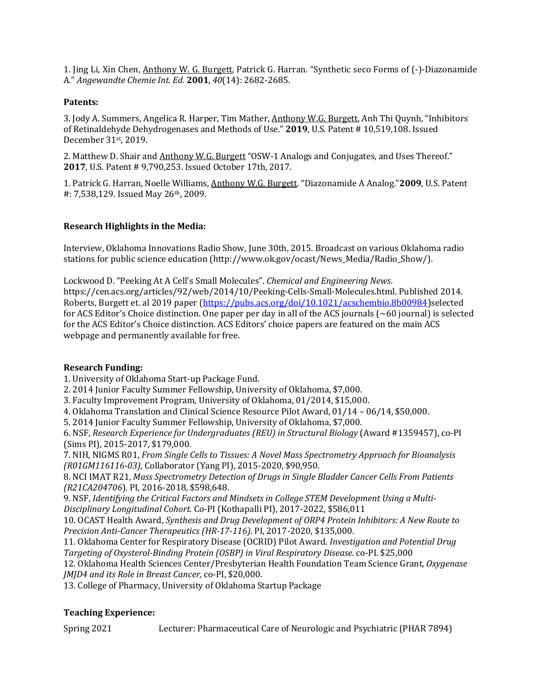1. Jing Li, Xin Chen, Anthony W. G. Burgett, Patrick G. Harran. "Synthetic seco Forms of (-)-Diazonamide A." *Angewandte Chemie Int. Ed.* **2001**, *40*(14): 2682-2685.

#### **Patents:**

3. Jody A. Summers, Angelica R. Harper, Tim Mather, Anthony W.G. Burgett, Anh Thi Quynh, "Inhibitors of Retinaldehyde Dehydrogenases and Methods of Use." **2019**, U.S. Patent # 10,519,108. Issued December 31st, 2019.

2. Matthew D. Shair and Anthony W.G. Burgett "OSW-1 Analogs and Conjugates, and Uses Thereof." **2017**, U.S. Patent # 9,790,253. Issued October 17th, 2017.

1. Patrick G. Harran, Noelle Williams, Anthony W.G. Burgett. "Diazonamide A Analog."**2009**, U.S. Patent #: 7,538,129. Issued May 26th, 2009.

## **Research Highlights in the Media:**

Interview, Oklahoma Innovations Radio Show, June 30th, 2015. Broadcast on various Oklahoma radio stations for public science education (http://www.ok.gov/ocast/News\_Media/Radio\_Show/).

Lockwood D. "Peeking At A Cell's Small Molecules". *Chemical and Engineering News*. https://cen.acs.org/articles/92/web/2014/10/Peeking-Cells-Small-Molecules.html. Published 2014. Roberts, Burgett et. al 2019 paper [\(https://pubs.acs.org/doi/10.1021/acschembio.8b00984\)](https://pubs.acs.org/doi/10.1021/acschembio.8b00984)selected for ACS Editor's Choice distinction. One paper per day in all of the ACS journals (~60 journal) is selected for the ACS Editor's Choice distinction. ACS Editors' choice papers are featured on the main ACS webpage and permanently available for free.

#### **Research Funding:**

1. University of Oklahoma Start-up Package Fund.

2. 2014 Junior Faculty Summer Fellowship, University of Oklahoma, \$7,000.

3. Faculty Improvement Program, University of Oklahoma, 01/2014, \$15,000.

4. Oklahoma Translation and Clinical Science Resource Pilot Award, 01/14 – 06/14, \$50,000.

5. 2014 Junior Faculty Summer Fellowship, University of Oklahoma, \$7,000.

6. NSF, *Research Experience for Undergraduates (REU) in Structural Biology* (Award #1359457), co-PI (Sims PI), 2015-2017, \$179,000.

7. NIH, NIGMS R01, *From Single Cells to Tissues: A Novel Mass Spectrometry Approach for Bioanalysis (R01GM116116-03)*, Collaborator (Yang PI), 2015-2020, \$90,950.

8. NCI IMAT R21, *Mass Spectrometry Detection of Drugs in Single Bladder Cancer Cells From Patients (R21CA204706*). PI, 2016-2018, \$598,648.

9. NSF, *Identifying the Critical Factors and Mindsets in College STEM Development Using a Multi-Disciplinary Longitudinal Cohort.* Co-PI (Kothapalli PI), 2017-2022, \$586,011

10. OCAST Health Award, *Synthesis and Drug Development of ORP4 Protein Inhibitors: A New Route to Precision Anti-Cancer Therapeutics (HR-17-116)*. PI, 2017-2020, \$135,000.

11. Oklahoma Center for Respiratory Disease (OCRID) Pilot Award. *Investigation and Potential Drug Targeting of Oxysterol-Binding Protein (OSBP) in Viral Respiratory Disease.* co-PI. \$25,000

12. Oklahoma Health Sciences Center/Presbyterian Health Foundation Team Science Grant, *Oxygenase JMJD4 and its Role in Breast Cancer,* co-PI, \$20,000.

13. College of Pharmacy, University of Oklahoma Startup Package

## **Teaching Experience:**

Spring 2021 Lecturer: Pharmaceutical Care of Neurologic and Psychiatric (PHAR 7894)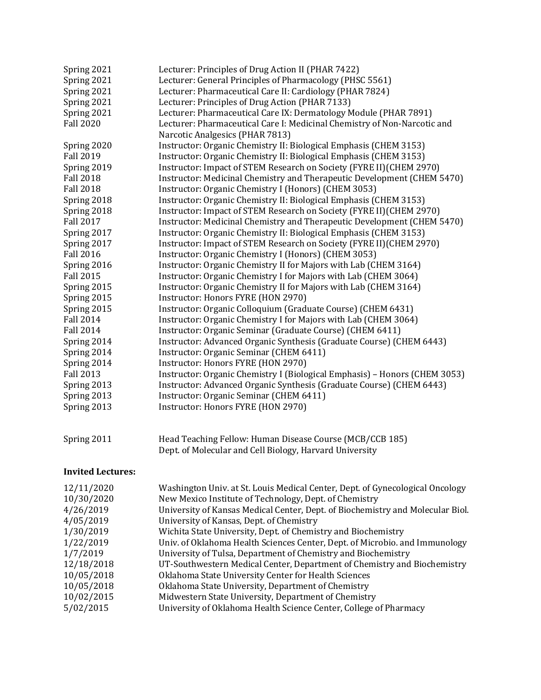| Spring 2021              | Lecturer: Principles of Drug Action II (PHAR 7422)                             |
|--------------------------|--------------------------------------------------------------------------------|
| Spring 2021              | Lecturer: General Principles of Pharmacology (PHSC 5561)                       |
| Spring 2021              | Lecturer: Pharmaceutical Care II: Cardiology (PHAR 7824)                       |
| Spring 2021              | Lecturer: Principles of Drug Action (PHAR 7133)                                |
| Spring 2021              | Lecturer: Pharmaceutical Care IX: Dermatology Module (PHAR 7891)               |
| <b>Fall 2020</b>         | Lecturer: Pharmaceutical Care I: Medicinal Chemistry of Non-Narcotic and       |
|                          | Narcotic Analgesics (PHAR 7813)                                                |
| Spring 2020              | Instructor: Organic Chemistry II: Biological Emphasis (CHEM 3153)              |
| <b>Fall 2019</b>         | Instructor: Organic Chemistry II: Biological Emphasis (CHEM 3153)              |
| Spring 2019              | Instructor: Impact of STEM Research on Society (FYRE II) (CHEM 2970)           |
| <b>Fall 2018</b>         | Instructor: Medicinal Chemistry and Therapeutic Development (CHEM 5470)        |
| <b>Fall 2018</b>         | Instructor: Organic Chemistry I (Honors) (CHEM 3053)                           |
| Spring 2018              | Instructor: Organic Chemistry II: Biological Emphasis (CHEM 3153)              |
| Spring 2018              | Instructor: Impact of STEM Research on Society (FYRE II)(CHEM 2970)            |
| <b>Fall 2017</b>         | Instructor: Medicinal Chemistry and Therapeutic Development (CHEM 5470)        |
| Spring 2017              | Instructor: Organic Chemistry II: Biological Emphasis (CHEM 3153)              |
| Spring 2017              | Instructor: Impact of STEM Research on Society (FYRE II)(CHEM 2970)            |
| <b>Fall 2016</b>         | Instructor: Organic Chemistry I (Honors) (CHEM 3053)                           |
| Spring 2016              | Instructor: Organic Chemistry II for Majors with Lab (CHEM 3164)               |
| <b>Fall 2015</b>         | Instructor: Organic Chemistry I for Majors with Lab (CHEM 3064)                |
| Spring 2015              | Instructor: Organic Chemistry II for Majors with Lab (CHEM 3164)               |
| Spring 2015              | Instructor: Honors FYRE (HON 2970)                                             |
| Spring 2015              | Instructor: Organic Colloquium (Graduate Course) (CHEM 6431)                   |
| <b>Fall 2014</b>         | Instructor: Organic Chemistry I for Majors with Lab (CHEM 3064)                |
| <b>Fall 2014</b>         | Instructor: Organic Seminar (Graduate Course) (CHEM 6411)                      |
| Spring 2014              | Instructor: Advanced Organic Synthesis (Graduate Course) (CHEM 6443)           |
| Spring 2014              | Instructor: Organic Seminar (CHEM 6411)                                        |
| Spring 2014              | Instructor: Honors FYRE (HON 2970)                                             |
| <b>Fall 2013</b>         | Instructor: Organic Chemistry I (Biological Emphasis) - Honors (CHEM 3053)     |
| Spring 2013              | Instructor: Advanced Organic Synthesis (Graduate Course) (CHEM 6443)           |
| Spring 2013              | Instructor: Organic Seminar (CHEM 6411)                                        |
| Spring 2013              | Instructor: Honors FYRE (HON 2970)                                             |
| Spring 2011              | Head Teaching Fellow: Human Disease Course (MCB/CCB 185)                       |
|                          | Dept. of Molecular and Cell Biology, Harvard University                        |
| <b>Invited Lectures:</b> |                                                                                |
| 12/11/2020               | Washington Univ. at St. Louis Medical Center, Dept. of Gynecological Oncology  |
| 10/30/2020               | New Mexico Institute of Technology, Dept. of Chemistry                         |
| 4/26/2019                | University of Kansas Medical Center, Dept. of Biochemistry and Molecular Biol. |
| 4/05/2019                | University of Kansas, Dept. of Chemistry                                       |
| 1/30/2019                | Wichita State University, Dept. of Chemistry and Biochemistry                  |
| 1/22/2019                | Univ. of Oklahoma Health Sciences Center, Dept. of Microbio. and Immunology    |
| 1/7/2019                 | University of Tulsa, Department of Chemistry and Biochemistry                  |
| 12/18/2018               | UT-Southwestern Medical Center, Department of Chemistry and Biochemistry       |
| 10/05/2018               | Oklahoma State University Center for Health Sciences                           |
| 10/05/2018               | Oklahoma State University, Department of Chemistry                             |
| 10/02/2015               | Midwestern State University, Department of Chemistry                           |
| 5/02/2015                | University of Oklahoma Health Science Center, College of Pharmacy              |
|                          |                                                                                |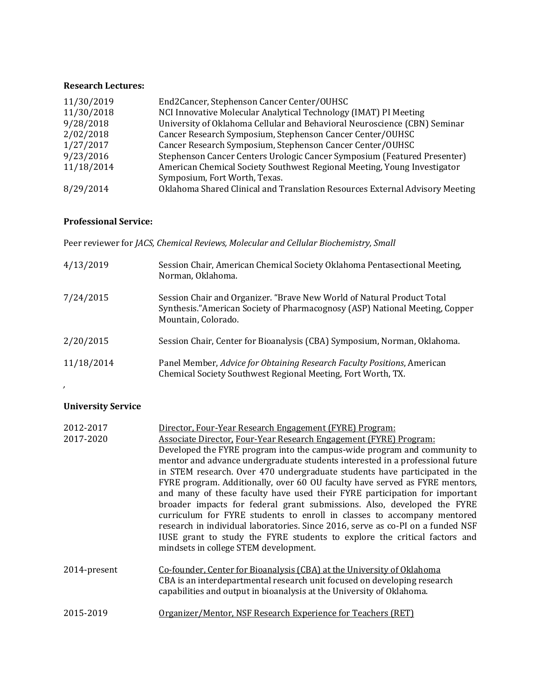#### **Research Lectures:**

| 11/30/2019 | End2Cancer, Stephenson Cancer Center/OUHSC                                   |
|------------|------------------------------------------------------------------------------|
| 11/30/2018 | NCI Innovative Molecular Analytical Technology (IMAT) PI Meeting             |
| 9/28/2018  | University of Oklahoma Cellular and Behavioral Neuroscience (CBN) Seminar    |
| 2/02/2018  | Cancer Research Symposium, Stephenson Cancer Center/OUHSC                    |
| 1/27/2017  | Cancer Research Symposium, Stephenson Cancer Center/OUHSC                    |
| 9/23/2016  | Stephenson Cancer Centers Urologic Cancer Symposium (Featured Presenter)     |
| 11/18/2014 | American Chemical Society Southwest Regional Meeting, Young Investigator     |
|            | Symposium, Fort Worth, Texas.                                                |
| 8/29/2014  | Oklahoma Shared Clinical and Translation Resources External Advisory Meeting |

## **Professional Service:**

Peer reviewer for *JACS, Chemical Reviews, Molecular and Cellular Biochemistry, Small*

| 4/13/2019  | Session Chair, American Chemical Society Oklahoma Pentasectional Meeting,<br>Norman, Oklahoma.                                                                                |
|------------|-------------------------------------------------------------------------------------------------------------------------------------------------------------------------------|
| 7/24/2015  | Session Chair and Organizer. "Brave New World of Natural Product Total<br>Synthesis." American Society of Pharmacognosy (ASP) National Meeting, Copper<br>Mountain, Colorado. |
| 2/20/2015  | Session Chair, Center for Bioanalysis (CBA) Symposium, Norman, Oklahoma.                                                                                                      |
| 11/18/2014 | Panel Member, Advice for Obtaining Research Faculty Positions, American<br>Chemical Society Southwest Regional Meeting, Fort Worth, TX.                                       |

# **University Service**

*,* 

| 2012-2017    | Director, Four-Year Research Engagement (FYRE) Program:                                                                                                                                                                                                                                                                                                                                                                                                                                                                                                                                                                                                                                                                                                             |
|--------------|---------------------------------------------------------------------------------------------------------------------------------------------------------------------------------------------------------------------------------------------------------------------------------------------------------------------------------------------------------------------------------------------------------------------------------------------------------------------------------------------------------------------------------------------------------------------------------------------------------------------------------------------------------------------------------------------------------------------------------------------------------------------|
| 2017-2020    | Associate Director, Four-Year Research Engagement (FYRE) Program:                                                                                                                                                                                                                                                                                                                                                                                                                                                                                                                                                                                                                                                                                                   |
|              | Developed the FYRE program into the campus-wide program and community to<br>mentor and advance undergraduate students interested in a professional future<br>in STEM research. Over 470 undergraduate students have participated in the<br>FYRE program. Additionally, over 60 OU faculty have served as FYRE mentors,<br>and many of these faculty have used their FYRE participation for important<br>broader impacts for federal grant submissions. Also, developed the FYRE<br>curriculum for FYRE students to enroll in classes to accompany mentored<br>research in individual laboratories. Since 2016, serve as co-PI on a funded NSF<br>IUSE grant to study the FYRE students to explore the critical factors and<br>mindsets in college STEM development. |
| 2014-present | Co-founder, Center for Bioanalysis (CBA) at the University of Oklahoma<br>CBA is an interdepartmental research unit focused on developing research<br>capabilities and output in bioanalysis at the University of Oklahoma.                                                                                                                                                                                                                                                                                                                                                                                                                                                                                                                                         |
| 2015-2019    | Organizer/Mentor, NSF Research Experience for Teachers (RET)                                                                                                                                                                                                                                                                                                                                                                                                                                                                                                                                                                                                                                                                                                        |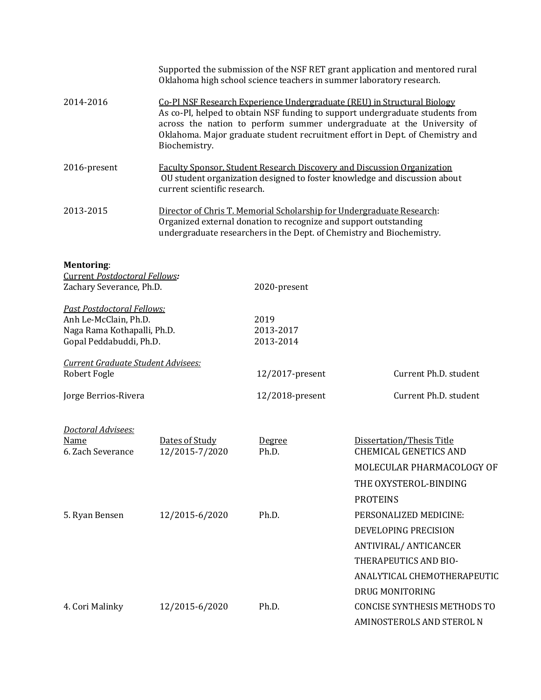|                                                                                                                      | Supported the submission of the NSF RET grant application and mentored rural<br>Oklahoma high school science teachers in summer laboratory research.                                                                                                                                                                                 |                                |                                                    |  |
|----------------------------------------------------------------------------------------------------------------------|--------------------------------------------------------------------------------------------------------------------------------------------------------------------------------------------------------------------------------------------------------------------------------------------------------------------------------------|--------------------------------|----------------------------------------------------|--|
| 2014-2016                                                                                                            | Co-PI NSF Research Experience Undergraduate (REU) in Structural Biology<br>As co-PI, helped to obtain NSF funding to support undergraduate students from<br>across the nation to perform summer undergraduate at the University of<br>Oklahoma. Major graduate student recruitment effort in Dept. of Chemistry and<br>Biochemistry. |                                |                                                    |  |
| 2016-present                                                                                                         | Faculty Sponsor, Student Research Discovery and Discussion Organization<br>OU student organization designed to foster knowledge and discussion about<br>current scientific research.                                                                                                                                                 |                                |                                                    |  |
| 2013-2015                                                                                                            | Director of Chris T. Memorial Scholarship for Undergraduate Research:<br>Organized external donation to recognize and support outstanding<br>undergraduate researchers in the Dept. of Chemistry and Biochemistry.                                                                                                                   |                                |                                                    |  |
| <b>Mentoring:</b><br>Current Postdoctoral Fellows:                                                                   |                                                                                                                                                                                                                                                                                                                                      |                                |                                                    |  |
| Zachary Severance, Ph.D.                                                                                             |                                                                                                                                                                                                                                                                                                                                      | 2020-present                   |                                                    |  |
| <b>Past Postdoctoral Fellows:</b><br>Anh Le-McClain, Ph.D.<br>Naga Rama Kothapalli, Ph.D.<br>Gopal Peddabuddi, Ph.D. |                                                                                                                                                                                                                                                                                                                                      | 2019<br>2013-2017<br>2013-2014 |                                                    |  |
| Current Graduate Student Advisees:                                                                                   |                                                                                                                                                                                                                                                                                                                                      |                                |                                                    |  |
| Robert Fogle                                                                                                         |                                                                                                                                                                                                                                                                                                                                      | 12/2017-present                | Current Ph.D. student                              |  |
| Jorge Berrios-Rivera                                                                                                 |                                                                                                                                                                                                                                                                                                                                      | 12/2018-present                | Current Ph.D. student                              |  |
| Doctoral Advisees:<br><b>Name</b><br>6. Zach Severance                                                               | Dates of Study<br>12/2015-7/2020                                                                                                                                                                                                                                                                                                     | Degree<br>Ph.D.                | Dissertation/Thesis Title<br>CHEMICAL GENETICS AND |  |
|                                                                                                                      |                                                                                                                                                                                                                                                                                                                                      |                                | MOLECULAR PHARMACOLOGY OF                          |  |
|                                                                                                                      |                                                                                                                                                                                                                                                                                                                                      |                                | THE OXYSTEROL-BINDING                              |  |
|                                                                                                                      |                                                                                                                                                                                                                                                                                                                                      |                                | <b>PROTEINS</b>                                    |  |
| 5. Ryan Bensen                                                                                                       | 12/2015-6/2020                                                                                                                                                                                                                                                                                                                       | Ph.D.                          | PERSONALIZED MEDICINE:                             |  |
|                                                                                                                      |                                                                                                                                                                                                                                                                                                                                      |                                | DEVELOPING PRECISION                               |  |
|                                                                                                                      |                                                                                                                                                                                                                                                                                                                                      |                                | ANTIVIRAL/ ANTICANCER                              |  |
|                                                                                                                      |                                                                                                                                                                                                                                                                                                                                      |                                | THERAPEUTICS AND BIO-                              |  |
|                                                                                                                      |                                                                                                                                                                                                                                                                                                                                      |                                | ANALYTICAL CHEMOTHERAPEUTIC                        |  |
|                                                                                                                      |                                                                                                                                                                                                                                                                                                                                      |                                | DRUG MONITORING                                    |  |
| 4. Cori Malinky                                                                                                      | 12/2015-6/2020                                                                                                                                                                                                                                                                                                                       | Ph.D.                          | CONCISE SYNTHESIS METHODS TO                       |  |

AMINOSTEROLS AND STEROL N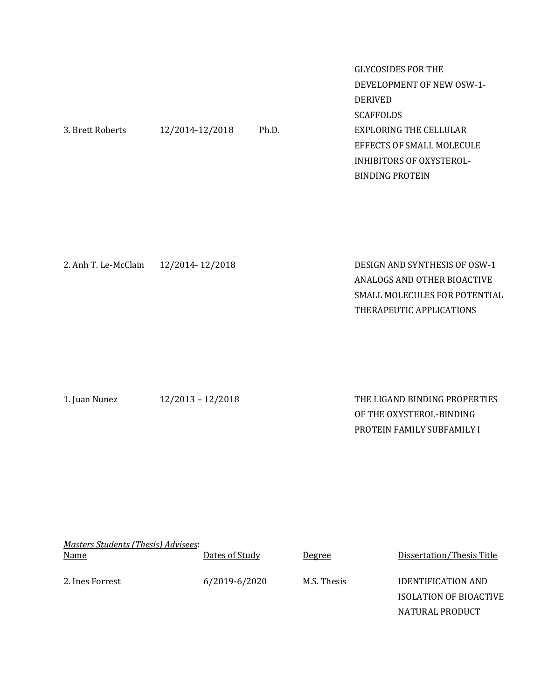|                  |                 |       | <b>GLYCOSIDES FOR THE</b>       |
|------------------|-----------------|-------|---------------------------------|
|                  |                 |       | DEVELOPMENT OF NEW OSW-1-       |
|                  |                 |       | <b>DERIVED</b>                  |
|                  |                 |       | <b>SCAFFOLDS</b>                |
| 3. Brett Roberts | 12/2014-12/2018 | Ph.D. | EXPLORING THE CELLULAR          |
|                  |                 |       | EFFECTS OF SMALL MOLECULE       |
|                  |                 |       | <b>INHIBITORS OF OXYSTEROL-</b> |
|                  |                 |       | <b>BINDING PROTEIN</b>          |
|                  |                 |       |                                 |
|                  |                 |       |                                 |

| 2. Anh T. Le-McClain 12/2014-12/2018 | DESIGN AND SYNTHESIS OF OSW-1 |
|--------------------------------------|-------------------------------|
|                                      | ANALOGS AND OTHER BIOACTIVE   |
|                                      | SMALL MOLECULES FOR POTENTIAL |
|                                      | THERAPEUTIC APPLICATIONS      |
|                                      |                               |

| 1. Juan Nunez |  |
|---------------|--|
|               |  |

1. Juan Nunez 12/2013 – 12/2018 THE LIGAND BINDING PROPERTIES OF THE OXYSTEROL-BINDING PROTEIN FAMILY SUBFAMILY I

| Masters Students (Thesis) Advisees:<br><u>Name</u> | Dates of Study | <u>Degree</u> | Dissertation/Thesis Title |
|----------------------------------------------------|----------------|---------------|---------------------------|
| 2. Ines Forrest                                    | 6/2019-6/2020  | M.S. Thesis   | <b>IDENTIFICATION AND</b> |
|                                                    |                |               | ISOLATION OF BIOACTIVE    |
|                                                    |                |               | NATURAL PRODUCT           |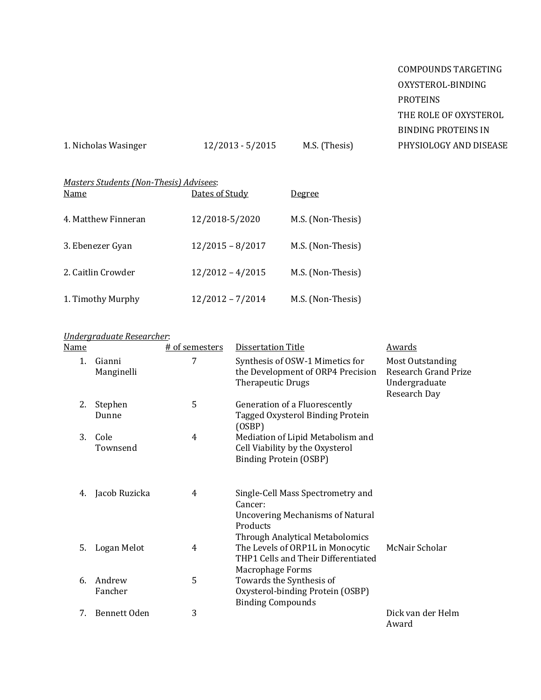COMPOUNDS TARGETING OXYSTEROL-BINDING PROTEINS THE ROLE OF OXYSTEROL BINDING PROTEINS IN PHYSIOLOGY AND DISEASE

1. Nicholas Wasinger 12/2013 - 5/2015 M.S. (Thesis)

| Masters Students (Non-Thesis) Advisees: |                    |                   |  |  |
|-----------------------------------------|--------------------|-------------------|--|--|
| Name                                    | Dates of Study     | <u>Degree</u>     |  |  |
| 4. Matthew Finneran                     | 12/2018-5/2020     | M.S. (Non-Thesis) |  |  |
| 3. Ebenezer Gyan                        | $12/2015 - 8/2017$ | M.S. (Non-Thesis) |  |  |
| 2. Caitlin Crowder                      | $12/2012 - 4/2015$ | M.S. (Non-Thesis) |  |  |
| 1. Timothy Murphy                       | $12/2012 - 7/2014$ | M.S. (Non-Thesis) |  |  |

# *Undergraduate Researcher*:

| <b>Name</b> |                      | # of semesters | <b>Dissertation Title</b>                                                                                                                     | <b>Awards</b>                                                                    |
|-------------|----------------------|----------------|-----------------------------------------------------------------------------------------------------------------------------------------------|----------------------------------------------------------------------------------|
| $1_{\cdot}$ | Gianni<br>Manginelli | 7              | Synthesis of OSW-1 Mimetics for<br>the Development of ORP4 Precision<br><b>Therapeutic Drugs</b>                                              | <b>Most Outstanding</b><br>Research Grand Prize<br>Undergraduate<br>Research Day |
| 2.          | Stephen<br>Dunne     | 5              | Generation of a Fluorescently<br>Tagged Oxysterol Binding Protein<br>(OSBP)                                                                   |                                                                                  |
| 3.          | Cole<br>Townsend     | 4              | Mediation of Lipid Metabolism and<br>Cell Viability by the Oxysterol<br><b>Binding Protein (OSBP)</b>                                         |                                                                                  |
| 4.          | Jacob Ruzicka        | 4              | Single-Cell Mass Spectrometry and<br>Cancer:<br><b>Uncovering Mechanisms of Natural</b><br>Products<br><b>Through Analytical Metabolomics</b> |                                                                                  |
| 5.          | Logan Melot          | 4              | The Levels of ORP1L in Monocytic<br>THP1 Cells and Their Differentiated<br>Macrophage Forms                                                   | McNair Scholar                                                                   |
| 6.          | Andrew<br>Fancher    | 5              | Towards the Synthesis of<br>Oxysterol-binding Protein (OSBP)<br><b>Binding Compounds</b>                                                      |                                                                                  |
| 7.          | <b>Bennett Oden</b>  | 3              |                                                                                                                                               | Dick van der Helm<br>Award                                                       |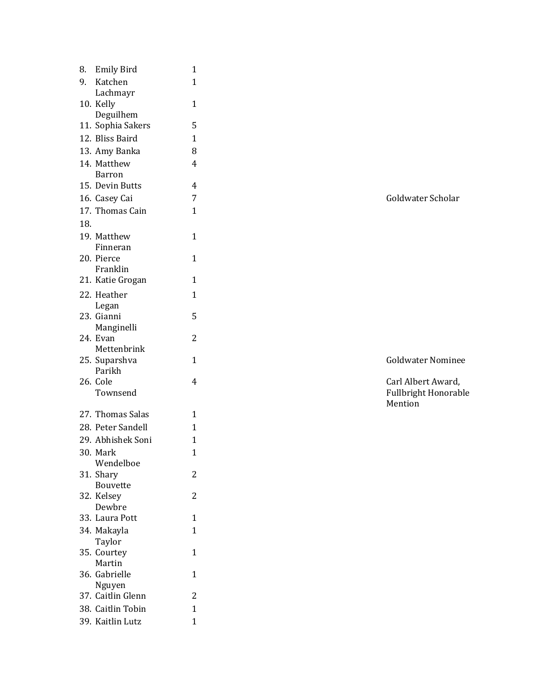| 8.  | <b>Emily Bird</b>           | 1              |  |  |
|-----|-----------------------------|----------------|--|--|
| 9.  | Katchen                     | $\overline{1}$ |  |  |
|     | Lachmayr                    |                |  |  |
|     | 10. Kelly                   | 1              |  |  |
|     | Deguilhem                   |                |  |  |
|     | 11. Sophia Sakers           | 5              |  |  |
|     | 12. Bliss Baird             | $\mathbf{1}$   |  |  |
|     | 13. Amy Banka               | 8              |  |  |
|     | 14. Matthew                 | 4              |  |  |
|     | <b>Barron</b>               |                |  |  |
|     | 15. Devin Butts             | 4              |  |  |
|     | 7<br>16. Casey Cai          |                |  |  |
|     | 17. Thomas Cain             | 1              |  |  |
| 18. |                             |                |  |  |
|     | 19. Matthew                 | 1              |  |  |
|     | Finneran                    |                |  |  |
|     | 20. Pierce                  | 1              |  |  |
|     | Franklin                    |                |  |  |
|     | 21. Katie Grogan            | 1              |  |  |
|     | 22. Heather                 | $\mathbf{1}$   |  |  |
|     | Legan                       |                |  |  |
|     | 23. Gianni                  | 5              |  |  |
|     | Manginelli                  |                |  |  |
|     | 24. Evan                    | $\overline{2}$ |  |  |
|     | Mettenbrink                 |                |  |  |
|     | 25. Suparshva<br>Parikh     | 1              |  |  |
|     | 26. Cole                    | 4              |  |  |
|     | Townsend                    |                |  |  |
|     |                             |                |  |  |
|     | 27. Thomas Salas            | 1              |  |  |
|     | 28. Peter Sandell           | $\overline{1}$ |  |  |
|     | 29. Abhishek Soni           | 1              |  |  |
|     | 30. Mark                    | 1              |  |  |
|     | Wendelboe                   |                |  |  |
|     | 31. Shary                   | 2              |  |  |
|     | <b>Bouvette</b>             |                |  |  |
|     | 32. Kelsey                  | $\overline{2}$ |  |  |
|     | Dewbre                      |                |  |  |
|     | 33. Laura Pott              | 1              |  |  |
|     | 34. Makayla                 | 1              |  |  |
|     | Taylor                      |                |  |  |
| 35. | Courtey                     | 1              |  |  |
|     | Martin                      |                |  |  |
| 36. | Gabrielle                   | 1              |  |  |
|     | Nguyen<br>37. Caitlin Glenn | 2              |  |  |
|     |                             | $\overline{1}$ |  |  |
|     | 38. Caitlin Tobin           |                |  |  |
|     | 39. Kaitlin Lutz            | $\overline{1}$ |  |  |

Goldwater Scholar

Goldwater Nominee

4 Carl Albert Award, Fullbright Honorable Mention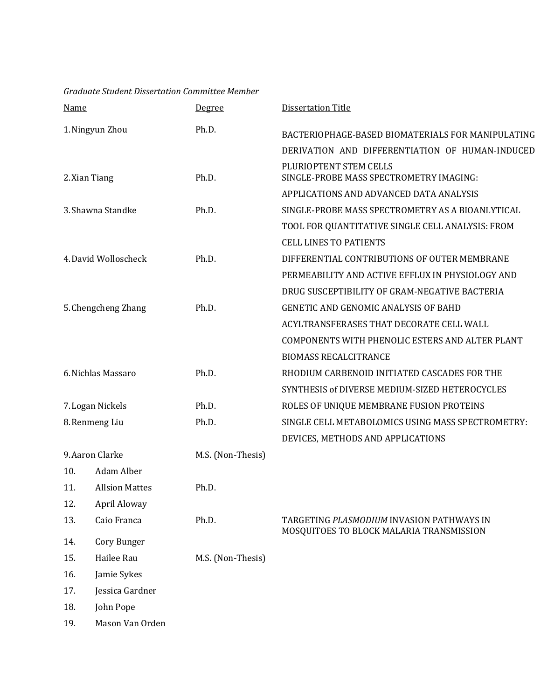| Graduate Student Dissertation Committee Member |  |
|------------------------------------------------|--|
|                                                |  |

| <b>Name</b>         |                       | Degree            | <b>Dissertation Title</b>                                                             |
|---------------------|-----------------------|-------------------|---------------------------------------------------------------------------------------|
| 1. Ningyun Zhou     |                       | Ph.D.             | BACTERIOPHAGE-BASED BIOMATERIALS FOR MANIPULATING                                     |
|                     |                       |                   | DERIVATION AND DIFFERENTIATION OF HUMAN-INDUCED                                       |
| 2. Xian Tiang       |                       | Ph.D.             | PLURIOPTENT STEM CELLS<br>SINGLE-PROBE MASS SPECTROMETRY IMAGING:                     |
|                     |                       |                   | APPLICATIONS AND ADVANCED DATA ANALYSIS                                               |
| 3. Shawna Standke   |                       | Ph.D.             | SINGLE-PROBE MASS SPECTROMETRY AS A BIOANLYTICAL                                      |
|                     |                       |                   | TOOL FOR QUANTITATIVE SINGLE CELL ANALYSIS: FROM                                      |
|                     |                       |                   | <b>CELL LINES TO PATIENTS</b>                                                         |
|                     | 4. David Wolloscheck  | Ph.D.             | DIFFERENTIAL CONTRIBUTIONS OF OUTER MEMBRANE                                          |
|                     |                       |                   | PERMEABILITY AND ACTIVE EFFLUX IN PHYSIOLOGY AND                                      |
|                     |                       |                   | DRUG SUSCEPTIBILITY OF GRAM-NEGATIVE BACTERIA                                         |
| 5. Chengcheng Zhang |                       | Ph.D.             | <b>GENETIC AND GENOMIC ANALYSIS OF BAHD</b>                                           |
|                     |                       |                   | ACYLTRANSFERASES THAT DECORATE CELL WALL                                              |
|                     |                       |                   | COMPONENTS WITH PHENOLIC ESTERS AND ALTER PLANT                                       |
|                     |                       |                   | <b>BIOMASS RECALCITRANCE</b>                                                          |
| 6. Nichlas Massaro  |                       | Ph.D.             | RHODIUM CARBENOID INITIATED CASCADES FOR THE                                          |
|                     |                       |                   | SYNTHESIS of DIVERSE MEDIUM-SIZED HETEROCYCLES                                        |
| 7. Logan Nickels    |                       | Ph.D.             | ROLES OF UNIQUE MEMBRANE FUSION PROTEINS                                              |
| 8. Renmeng Liu      |                       | Ph.D.             | SINGLE CELL METABOLOMICS USING MASS SPECTROMETRY:                                     |
|                     |                       |                   | DEVICES, METHODS AND APPLICATIONS                                                     |
| 9. Aaron Clarke     |                       | M.S. (Non-Thesis) |                                                                                       |
| 10.                 | Adam Alber            |                   |                                                                                       |
| 11.                 | <b>Allsion Mattes</b> | Ph.D.             |                                                                                       |
| 12.                 | April Aloway          |                   |                                                                                       |
| 13.                 | Caio Franca           | Ph.D.             | TARGETING PLASMODIUM INVASION PATHWAYS IN<br>MOSQUITOES TO BLOCK MALARIA TRANSMISSION |
| 14.                 | Cory Bunger           |                   |                                                                                       |
| 15.                 | Hailee Rau            | M.S. (Non-Thesis) |                                                                                       |
| 16.                 | Jamie Sykes           |                   |                                                                                       |
| 17.                 | Jessica Gardner       |                   |                                                                                       |
| 18.                 | John Pope             |                   |                                                                                       |
| 19.                 | Mason Van Orden       |                   |                                                                                       |